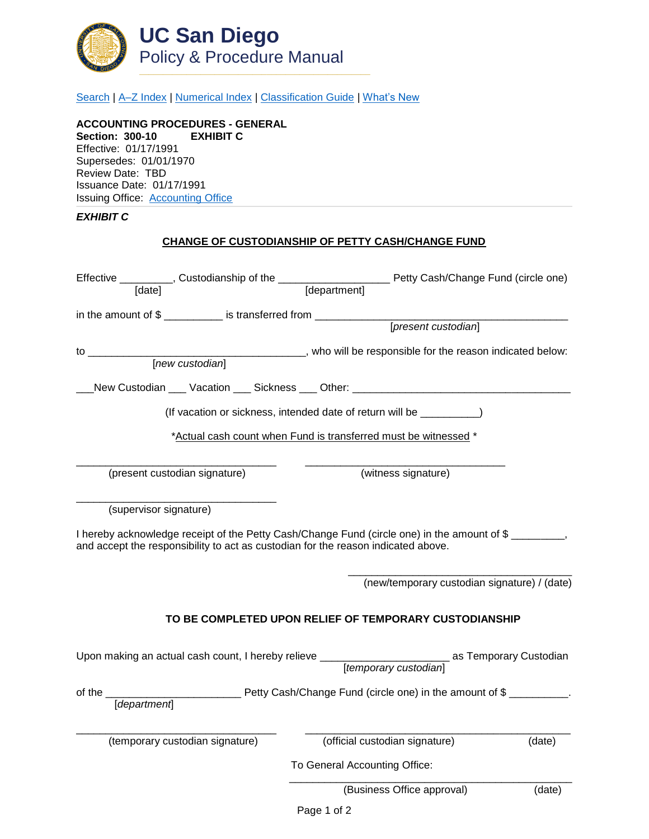

[Search](http://adminrecords.ucsd.edu/ppm/index.html) | [A–Z Index](http://adminrecords.ucsd.edu/ppm/ppmindex.html) | [Numerical Index](http://adminrecords.ucsd.edu/ppm/numerical.html) | [Classification Guide](http://adminrecords.ucsd.edu/ppm/alphabetical.html) | [What's New](http://adminrecords.ucsd.edu/ppm/whatsnew.html)

**ACCOUNTING PROCEDURES - GENERAL Section: 300-10 EXHIBIT C** Effective: 01/17/1991 Supersedes: 01/01/1970 Review Date: TBD Issuance Date: 01/17/1991 Issuing Office:[Accounting Office](http://blink.ucsd.edu/sponsor/BFS/divisions/general-accounting/)

## *EXHIBIT C*

## **CHANGE OF CUSTODIANSHIP OF PETTY CASH/CHANGE FUND**

|                        |                                 | [new custodian] ____________, who will be responsible for the reason indicated below:                                                                                            |        |
|------------------------|---------------------------------|----------------------------------------------------------------------------------------------------------------------------------------------------------------------------------|--------|
|                        |                                 |                                                                                                                                                                                  |        |
|                        |                                 | _New Custodian ___ Vacation ___ Sickness ___ Other: ____________________________                                                                                                 |        |
|                        |                                 | (If vacation or sickness, intended date of return will be _________                                                                                                              |        |
|                        |                                 | *Actual cash count when Fund is transferred must be witnessed *                                                                                                                  |        |
|                        | (present custodian signature)   | (witness signature)                                                                                                                                                              |        |
| (supervisor signature) |                                 |                                                                                                                                                                                  |        |
|                        |                                 | I hereby acknowledge receipt of the Petty Cash/Change Fund (circle one) in the amount of \$<br>and accept the responsibility to act as custodian for the reason indicated above. |        |
|                        |                                 | (new/temporary custodian signature) / (date)                                                                                                                                     |        |
|                        |                                 | TO BE COMPLETED UPON RELIEF OF TEMPORARY CUSTODIANSHIP                                                                                                                           |        |
|                        |                                 | Upon making an actual cash count, I hereby relieve ______________________________ as Temporary Custodian                                                                         |        |
|                        |                                 | of the <u>[department]</u> Petty Cash/Change Fund (circle one) in the amount of \$                                                                                               |        |
|                        | (temporary custodian signature) | (official custodian signature)                                                                                                                                                   | (date) |
|                        |                                 | To General Accounting Office:                                                                                                                                                    |        |
|                        |                                 | (Business Office approval)                                                                                                                                                       | (date) |
|                        |                                 | Page 1 of 2                                                                                                                                                                      |        |